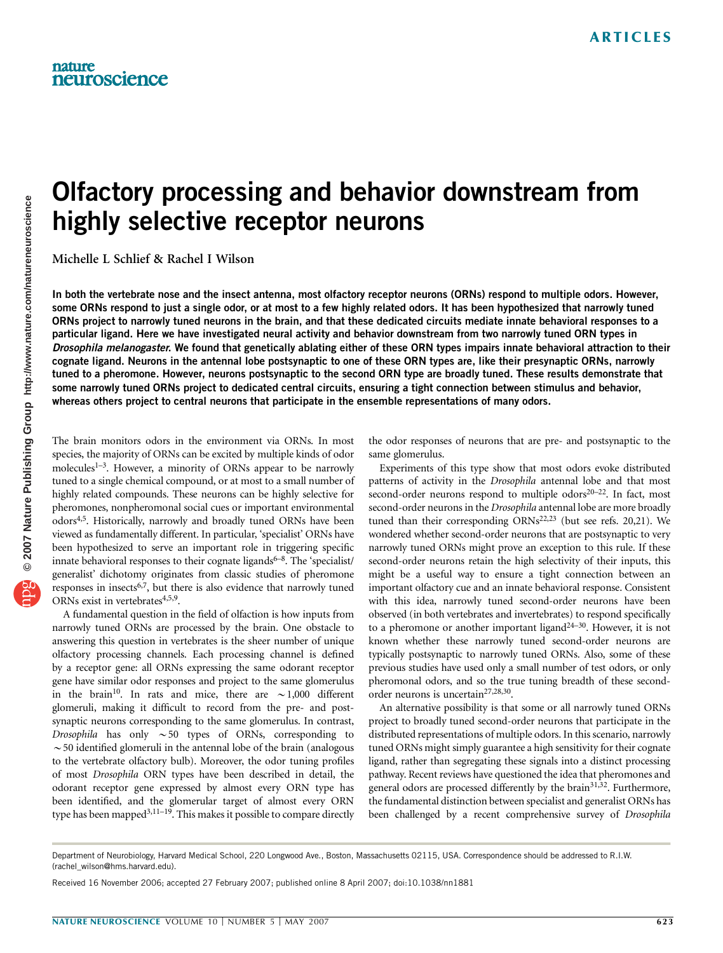# Olfactory processing and behavior downstream from highly selective receptor neurons

Michelle L Schlief & Rachel I Wilson

In both the vertebrate nose and the insect antenna, most olfactory receptor neurons (ORNs) respond to multiple odors. However, some ORNs respond to just a single odor, or at most to a few highly related odors. It has been hypothesized that narrowly tuned ORNs project to narrowly tuned neurons in the brain, and that these dedicated circuits mediate innate behavioral responses to a particular ligand. Here we have investigated neural activity and behavior downstream from two narrowly tuned ORN types in Drosophila melanogaster. We found that genetically ablating either of these ORN types impairs innate behavioral attraction to their cognate ligand. Neurons in the antennal lobe postsynaptic to one of these ORN types are, like their presynaptic ORNs, narrowly tuned to a pheromone. However, neurons postsynaptic to the second ORN type are broadly tuned. These results demonstrate that some narrowly tuned ORNs project to dedicated central circuits, ensuring a tight connection between stimulus and behavior, whereas others project to central neurons that participate in the ensemble representations of many odors.

The brain monitors odors in the environment via ORNs. In most species, the majority of ORNs can be excited by multiple kinds of odor molecules<sup>1-3</sup>. However, a minority of ORNs appear to be narrowly tuned to a single chemical compound, or at most to a small number of highly related compounds. These neurons can be highly selective for pheromones, nonpheromonal social cues or important environmental odors4,5. Historically, narrowly and broadly tuned ORNs have been viewed as fundamentally different. In particular, 'specialist' ORNs have been hypothesized to serve an important role in triggering specific innate behavioral responses to their cognate ligands<sup>6–8</sup>. The 'specialist/ generalist' dichotomy originates from classic studies of pheromone responses in insects<sup>6,7</sup>, but there is also evidence that narrowly tuned ORNs exist in vertebrates<sup>4,5,9</sup>.

A fundamental question in the field of olfaction is how inputs from narrowly tuned ORNs are processed by the brain. One obstacle to answering this question in vertebrates is the sheer number of unique olfactory processing channels. Each processing channel is defined by a receptor gene: all ORNs expressing the same odorant receptor gene have similar odor responses and project to the same glomerulus in the brain<sup>10</sup>. In rats and mice, there are  $\sim$ 1,000 different glomeruli, making it difficult to record from the pre- and postsynaptic neurons corresponding to the same glomerulus. In contrast, Drosophila has only  $\sim$  50 types of ORNs, corresponding to  $\sim$  50 identified glomeruli in the antennal lobe of the brain (analogous to the vertebrate olfactory bulb). Moreover, the odor tuning profiles of most Drosophila ORN types have been described in detail, the odorant receptor gene expressed by almost every ORN type has been identified, and the glomerular target of almost every ORN type has been mapped<sup>3,11–19</sup>. This makes it possible to compare directly

the odor responses of neurons that are pre- and postsynaptic to the same glomerulus.

Experiments of this type show that most odors evoke distributed patterns of activity in the Drosophila antennal lobe and that most second-order neurons respond to multiple  $odors<sup>20-22</sup>$ . In fact, most second-order neurons in the Drosophila antennal lobe are more broadly tuned than their corresponding  $ORNs^{22,23}$  (but see refs. 20,21). We wondered whether second-order neurons that are postsynaptic to very narrowly tuned ORNs might prove an exception to this rule. If these second-order neurons retain the high selectivity of their inputs, this might be a useful way to ensure a tight connection between an important olfactory cue and an innate behavioral response. Consistent with this idea, narrowly tuned second-order neurons have been observed (in both vertebrates and invertebrates) to respond specifically to a pheromone or another important ligand $24-30$ . However, it is not known whether these narrowly tuned second-order neurons are typically postsynaptic to narrowly tuned ORNs. Also, some of these previous studies have used only a small number of test odors, or only pheromonal odors, and so the true tuning breadth of these secondorder neurons is uncertain<sup>27,28,30</sup>.

An alternative possibility is that some or all narrowly tuned ORNs project to broadly tuned second-order neurons that participate in the distributed representations of multiple odors. In this scenario, narrowly tuned ORNs might simply guarantee a high sensitivity for their cognate ligand, rather than segregating these signals into a distinct processing pathway. Recent reviews have questioned the idea that pheromones and general odors are processed differently by the brain<sup>31,32</sup>. Furthermore, the fundamental distinction between specialist and generalist ORNs has been challenged by a recent comprehensive survey of Drosophila

Department of Neurobiology, Harvard Medical School, 220 Longwood Ave., Boston, Massachusetts 02115, USA. Correspondence should be addressed to R.I.W. (rachel\_wilson@hms.harvard.edu).

Received 16 November 2006; accepted 27 February 2007; published online 8 April 2007; doi:10.1038/nn1881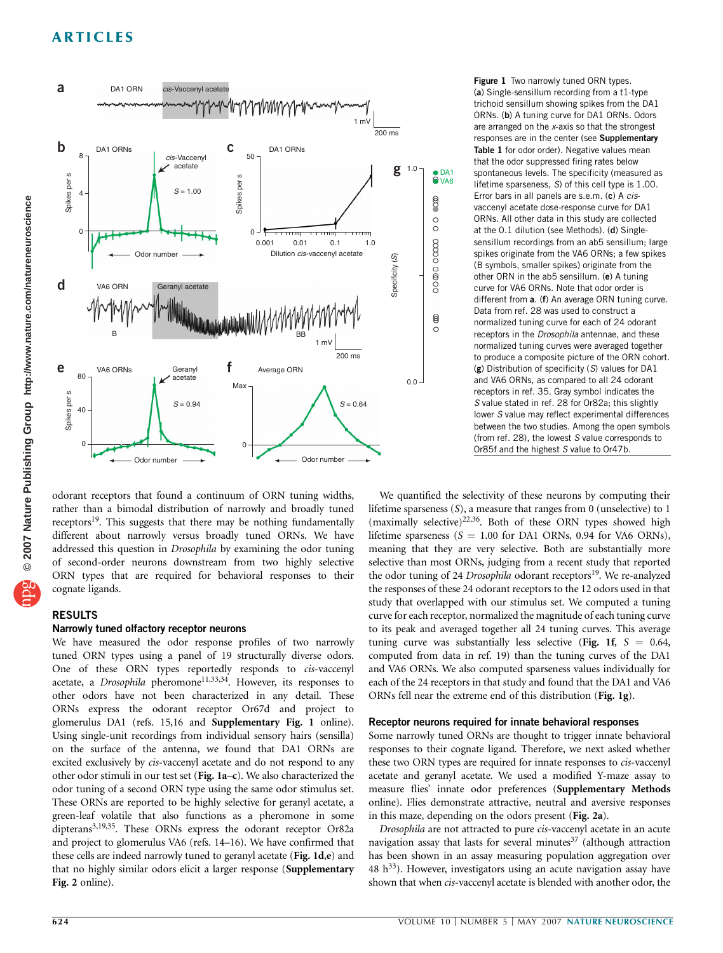

Figure 1 Two narrowly tuned ORN types. (a) Single-sensillum recording from a t1-type trichoid sensillum showing spikes from the DA1 ORNs. (b) A tuning curve for DA1 ORNs. Odors are arranged on the x-axis so that the strongest responses are in the center (see Supplementary Table 1 for odor order). Negative values mean that the odor suppressed firing rates below spontaneous levels. The specificity (measured as lifetime sparseness, S) of this cell type is 1.00. Error bars in all panels are s.e.m. (c) A cisvaccenyl acetate dose-response curve for DA1 ORNs. All other data in this study are collected at the 0.1 dilution (see Methods). (d) Singlesensillum recordings from an ab5 sensillum; large spikes originate from the VA6 ORNs; a few spikes (B symbols, smaller spikes) originate from the other ORN in the ab5 sensillum. (e) A tuning curve for VA6 ORNs. Note that odor order is different from a. (f) An average ORN tuning curve. Data from ref. 28 was used to construct a normalized tuning curve for each of 24 odorant receptors in the Drosophila antennae, and these normalized tuning curves were averaged together to produce a composite picture of the ORN cohort. (g) Distribution of specificity (S) values for DA1 and VA6 ORNs, as compared to all 24 odorant receptors in ref. 35. Gray symbol indicates the S value stated in ref. 28 for Or82a; this slightly lower S value may reflect experimental differences between the two studies. Among the open symbols (from ref. 28), the lowest S value corresponds to Or85f and the highest S value to Or47b.

odorant receptors that found a continuum of ORN tuning widths, rather than a bimodal distribution of narrowly and broadly tuned receptors<sup>19</sup>. This suggests that there may be nothing fundamentally different about narrowly versus broadly tuned ORNs. We have addressed this question in Drosophila by examining the odor tuning of second-order neurons downstream from two highly selective ORN types that are required for behavioral responses to their cognate ligands.

## RESULTS

## Narrowly tuned olfactory receptor neurons

We have measured the odor response profiles of two narrowly tuned ORN types using a panel of 19 structurally diverse odors. One of these ORN types reportedly responds to cis-vaccenyl acetate, a Drosophila pheromone<sup>11,33,34</sup>. However, its responses to other odors have not been characterized in any detail. These ORNs express the odorant receptor Or67d and project to glomerulus DA1 (refs. 15,16 and Supplementary Fig. 1 online). Using single-unit recordings from individual sensory hairs (sensilla) on the surface of the antenna, we found that DA1 ORNs are excited exclusively by cis-vaccenyl acetate and do not respond to any other odor stimuli in our test set (Fig. 1a–c). We also characterized the odor tuning of a second ORN type using the same odor stimulus set. These ORNs are reported to be highly selective for geranyl acetate, a green-leaf volatile that also functions as a pheromone in some dipterans<sup>3,19,35</sup>. These ORNs express the odorant receptor Or82a and project to glomerulus VA6 (refs. 14–16). We have confirmed that these cells are indeed narrowly tuned to geranyl acetate (Fig. 1d,e) and that no highly similar odors elicit a larger response (Supplementary Fig. 2 online).

We quantified the selectivity of these neurons by computing their lifetime sparseness (S), a measure that ranges from 0 (unselective) to 1 (maximally selective)<sup>22,36</sup>. Both of these ORN types showed high lifetime sparseness ( $S = 1.00$  for DA1 ORNs, 0.94 for VA6 ORNs), meaning that they are very selective. Both are substantially more selective than most ORNs, judging from a recent study that reported the odor tuning of 24 Drosophila odorant receptors<sup>19</sup>. We re-analyzed the responses of these 24 odorant receptors to the 12 odors used in that study that overlapped with our stimulus set. We computed a tuning curve for each receptor, normalized the magnitude of each tuning curve to its peak and averaged together all 24 tuning curves. This average tuning curve was substantially less selective (Fig. 1f,  $S = 0.64$ , computed from data in ref. 19) than the tuning curves of the DA1 and VA6 ORNs. We also computed sparseness values individually for each of the 24 receptors in that study and found that the DA1 and VA6 ORNs fell near the extreme end of this distribution (Fig. 1g).

## Receptor neurons required for innate behavioral responses

Some narrowly tuned ORNs are thought to trigger innate behavioral responses to their cognate ligand. Therefore, we next asked whether these two ORN types are required for innate responses to *cis-vaccenyl* acetate and geranyl acetate. We used a modified Y-maze assay to measure flies' innate odor preferences (Supplementary Methods online). Flies demonstrate attractive, neutral and aversive responses in this maze, depending on the odors present (Fig. 2a).

Drosophila are not attracted to pure cis-vaccenyl acetate in an acute navigation assay that lasts for several minutes $37$  (although attraction has been shown in an assay measuring population aggregation over  $48 h<sup>33</sup>$ ). However, investigators using an acute navigation assay have shown that when cis-vaccenyl acetate is blended with another odor, the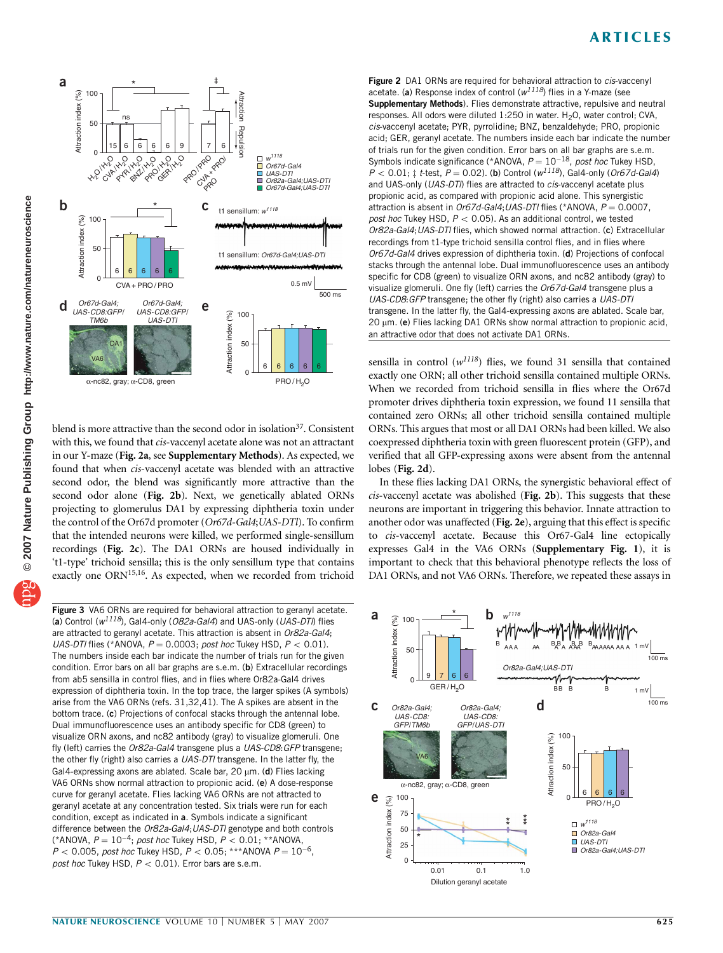

blend is more attractive than the second odor in isolation<sup>37</sup>. Consistent with this, we found that cis-vaccenyl acetate alone was not an attractant in our Y-maze (Fig. 2a, see Supplementary Methods). As expected, we found that when cis-vaccenyl acetate was blended with an attractive second odor, the blend was significantly more attractive than the second odor alone (Fig. 2b). Next, we genetically ablated ORNs projecting to glomerulus DA1 by expressing diphtheria toxin under the control of the Or67d promoter (Or67d-Gal4; UAS-DTl). To confirm that the intended neurons were killed, we performed single-sensillum recordings (Fig. 2c). The DA1 ORNs are housed individually in 't1-type' trichoid sensilla; this is the only sensillum type that contains exactly one ORN<sup>15,16</sup>. As expected, when we recorded from trichoid

**Figure 3** VA6 ORNs are required for behavioral attraction to geranyl acetate.  $\begin{bmatrix} a \end{bmatrix}$  and UAS-DTI, flies  $\begin{bmatrix} a \end{bmatrix}$  and  $\begin{bmatrix} a \end{bmatrix}$  and UAS-DTI, flies  $\begin{bmatrix} a \end{bmatrix}$  and  $\begin{bmatrix} a \end{bmatrix}$  and UAS-DTI, fli are attracted to geranyl acetate. This attraction is absent in Or82a-Gal4; UAS-DTI flies (\*ANOVA,  $P = 0.0003$ ; post hoc Tukey HSD,  $P < 0.01$ ). The numbers inside each bar indicate the number of trials run for the given condition. Error bars on all bar graphs are s.e.m. (b) Extracellular recordings from ab5 sensilla in control flies, and in flies where Or82a-Gal4 drives expression of diphtheria toxin. In the top trace, the larger spikes (A symbols) arise from the VA6 ORNs (refs. 31,32,41). The A spikes are absent in the bottom trace. (c) Projections of confocal stacks through the antennal lobe. Dual immunofluorescence uses an antibody specific for CD8 (green) to visualize ORN axons, and nc82 antibody (gray) to visualize glomeruli. One fly (left) carries the Or82a-Gal4 transgene plus a UAS-CD8: GFP transgene; the other fly (right) also carries a UAS-DTI transgene. In the latter fly, the Gal4-expressing axons are ablated. Scale bar,  $20 \mu m$ . (d) Flies lacking VA6 ORNs show normal attraction to propionic acid. (e) A dose-response curve for geranyl acetate. Flies lacking VA6 ORNs are not attracted to geranyl acetate at any concentration tested. Six trials were run for each condition, except as indicated in a. Symbols indicate a significant difference between the Or82a-Gal4; UAS-DTI genotype and both controls (\*ANOVA,  $P = 10^{-4}$ ; post hoc Tukey HSD,  $P < 0.01$ ; \*\*ANOVA,  $P < 0.005$ , post hoc Tukey HSD,  $P < 0.05$ : \*\*\*ANOVA  $P = 10^{-6}$ . post hoc Tukey HSD,  $P < 0.01$ ). Error bars are s.e.m.

Figure 2 DA1 ORNs are required for behavioral attraction to *cis*-vaccenyl acetate. (a) Response index of control ( $w^{1118}$ ) flies in a Y-maze (see Supplementary Methods). Flies demonstrate attractive, repulsive and neutral responses. All odors were diluted  $1:250$  in water. H<sub>2</sub>O, water control; CVA, cis-vaccenyl acetate; PYR, pyrrolidine; BNZ, benzaldehyde; PRO, propionic acid; GER, geranyl acetate. The numbers inside each bar indicate the number of trials run for the given condition. Error bars on all bar graphs are s.e.m. Symbols indicate significance (\*ANOVA,  $P = 10^{-18}$ , post hoc Tukey HSD,  $P < 0.01$ ;  $\ddagger$  t-test,  $P = 0.02$ ). (b) Control ( $w^{1118}$ ), Gal4-only (Or67d-Gal4) and UAS-only (UAS-DTI) flies are attracted to cis-vaccenyl acetate plus propionic acid, as compared with propionic acid alone. This synergistic attraction is absent in Or67d-Gal4; UAS-DTI flies (\*ANOVA,  $P = 0.0007$ , post hoc Tukey HSD,  $P < 0.05$ ). As an additional control, we tested Or82a-Gal4;UAS-DTl flies, which showed normal attraction. (c) Extracellular recordings from t1-type trichoid sensilla control flies, and in flies where Or67d-Gal4 drives expression of diphtheria toxin. (d) Projections of confocal stacks through the antennal lobe. Dual immunofluorescence uses an antibody specific for CD8 (green) to visualize ORN axons, and nc82 antibody (gray) to visualize glomeruli. One fly (left) carries the Or67d-Gal4 transgene plus a UAS-CD8:GFP transgene; the other fly (right) also carries a UAS-DTl transgene. In the latter fly, the Gal4-expressing axons are ablated. Scale bar,  $20 \mu$ m. (e) Flies lacking DA1 ORNs show normal attraction to propionic acid, an attractive odor that does not activate DA1 ORNs.

sensilla in control ( $w^{1118}$ ) flies, we found 31 sensilla that contained exactly one ORN; all other trichoid sensilla contained multiple ORNs. When we recorded from trichoid sensilla in flies where the Or67d promoter drives diphtheria toxin expression, we found 11 sensilla that contained zero ORNs; all other trichoid sensilla contained multiple ORNs. This argues that most or all DA1 ORNs had been killed. We also coexpressed diphtheria toxin with green fluorescent protein (GFP), and verified that all GFP-expressing axons were absent from the antennal lobes (Fig. 2d).

In these flies lacking DA1 ORNs, the synergistic behavioral effect of  $cis$ -vaccenyl acetate was abolished (Fig. 2b). This suggests that these neurons are important in triggering this behavior. Innate attraction to another odor was unaffected (Fig. 2e), arguing that this effect is specific to cis-vaccenyl acetate. Because this Or67-Gal4 line ectopically expresses Gal4 in the VA6 ORNs (Supplementary Fig. 1), it is important to check that this behavioral phenotype reflects the loss of DA1 ORNs, and not VA6 ORNs. Therefore, we repeated these assays in

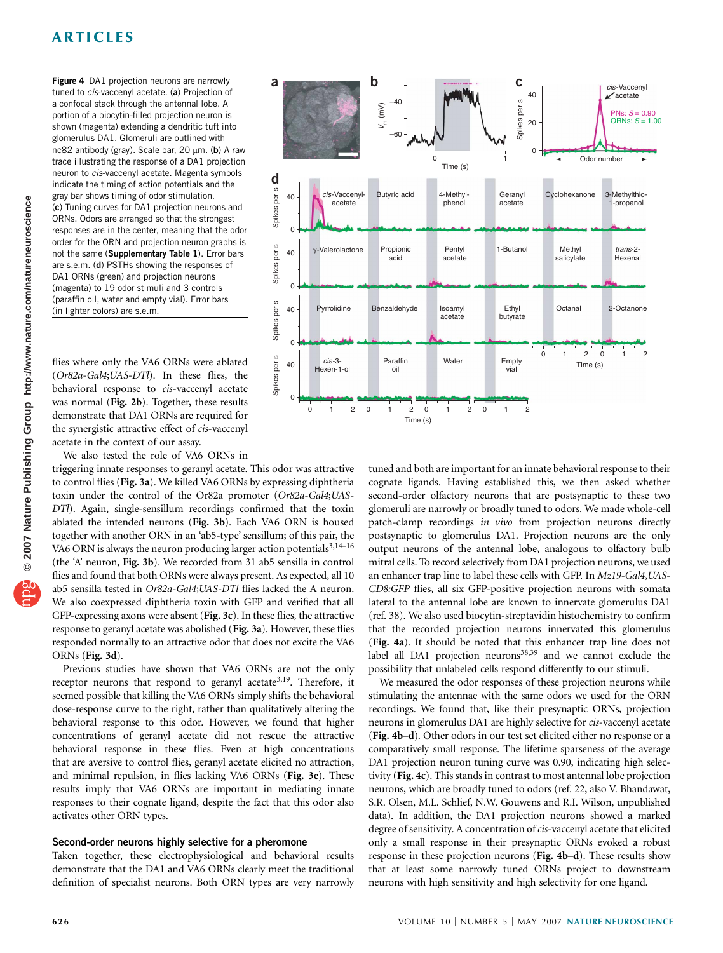Figure 4 DA1 projection neurons are narrowly tuned to cis-vaccenyl acetate. (a) Projection of a confocal stack through the antennal lobe. A portion of a biocytin-filled projection neuron is shown (magenta) extending a dendritic tuft into glomerulus DA1. Glomeruli are outlined with nc82 antibody (gray). Scale bar,  $20 \mu m$ . (b) A raw trace illustrating the response of a DA1 projection neuron to cis-vaccenyl acetate. Magenta symbols indicate the timing of action potentials and the gray bar shows timing of odor stimulation. (c) Tuning curves for DA1 projection neurons and ORNs. Odors are arranged so that the strongest responses are in the center, meaning that the odor order for the ORN and projection neuron graphs is not the same (Supplementary Table 1). Error bars are s.e.m. (d) PSTHs showing the responses of DA1 ORNs (green) and projection neurons (magenta) to 19 odor stimuli and 3 controls (paraffin oil, water and empty vial). Error bars (in lighter colors) are s.e.m.

flies where only the VA6 ORNs were ablated (Or82a-Gal4;UAS-DTl). In these flies, the behavioral response to cis-vaccenyl acetate was normal (Fig. 2b). Together, these results demonstrate that DA1 ORNs are required for the synergistic attractive effect of *cis*-vaccenyl acetate in the context of our assay.

We also tested the role of VA6 ORNs in

triggering innate responses to geranyl acetate. This odor was attractive to control flies (Fig. 3a). We killed VA6 ORNs by expressing diphtheria toxin under the control of the Or82a promoter (Or82a-Gal4;UAS-DTl). Again, single-sensillum recordings confirmed that the toxin ablated the intended neurons (Fig. 3b). Each VA6 ORN is housed together with another ORN in an 'ab5-type' sensillum; of this pair, the VA6 ORN is always the neuron producing larger action potentials<sup>3,14-16</sup> (the 'A' neuron, Fig. 3b). We recorded from 31 ab5 sensilla in control flies and found that both ORNs were always present. As expected, all 10 ab5 sensilla tested in Or82a-Gal4;UAS-DTl flies lacked the A neuron. We also coexpressed diphtheria toxin with GFP and verified that all GFP-expressing axons were absent (Fig. 3c). In these flies, the attractive response to geranyl acetate was abolished (Fig. 3a). However, these flies responded normally to an attractive odor that does not excite the VA6 ORNs (Fig. 3d).

Previous studies have shown that VA6 ORNs are not the only receptor neurons that respond to geranyl acetate<sup>3,19</sup>. Therefore, it seemed possible that killing the VA6 ORNs simply shifts the behavioral dose-response curve to the right, rather than qualitatively altering the behavioral response to this odor. However, we found that higher concentrations of geranyl acetate did not rescue the attractive behavioral response in these flies. Even at high concentrations that are aversive to control flies, geranyl acetate elicited no attraction, and minimal repulsion, in flies lacking VA6 ORNs (Fig. 3e). These results imply that VA6 ORNs are important in mediating innate responses to their cognate ligand, despite the fact that this odor also activates other ORN types.

## Second-order neurons highly selective for a pheromone

Taken together, these electrophysiological and behavioral results demonstrate that the DA1 and VA6 ORNs clearly meet the traditional definition of specialist neurons. Both ORN types are very narrowly



tuned and both are important for an innate behavioral response to their cognate ligands. Having established this, we then asked whether second-order olfactory neurons that are postsynaptic to these two glomeruli are narrowly or broadly tuned to odors. We made whole-cell patch-clamp recordings in vivo from projection neurons directly postsynaptic to glomerulus DA1. Projection neurons are the only output neurons of the antennal lobe, analogous to olfactory bulb mitral cells. To record selectively from DA1 projection neurons, we used an enhancer trap line to label these cells with GFP. In Mz19-Gal4, UAS-CD8:GFP flies, all six GFP-positive projection neurons with somata lateral to the antennal lobe are known to innervate glomerulus DA1 (ref. 38). We also used biocytin-streptavidin histochemistry to confirm that the recorded projection neurons innervated this glomerulus (Fig. 4a). It should be noted that this enhancer trap line does not label all DA1 projection neurons $38,39$  and we cannot exclude the possibility that unlabeled cells respond differently to our stimuli.

We measured the odor responses of these projection neurons while stimulating the antennae with the same odors we used for the ORN recordings. We found that, like their presynaptic ORNs, projection neurons in glomerulus DA1 are highly selective for cis-vaccenyl acetate (Fig. 4b–d). Other odors in our test set elicited either no response or a comparatively small response. The lifetime sparseness of the average DA1 projection neuron tuning curve was 0.90, indicating high selectivity (Fig. 4c). This stands in contrast to most antennal lobe projection neurons, which are broadly tuned to odors (ref. 22, also V. Bhandawat, S.R. Olsen, M.L. Schlief, N.W. Gouwens and R.I. Wilson, unpublished data). In addition, the DA1 projection neurons showed a marked degree of sensitivity. A concentration of cis-vaccenyl acetate that elicited only a small response in their presynaptic ORNs evoked a robust response in these projection neurons (Fig. 4b–d). These results show that at least some narrowly tuned ORNs project to downstream neurons with high sensitivity and high selectivity for one ligand.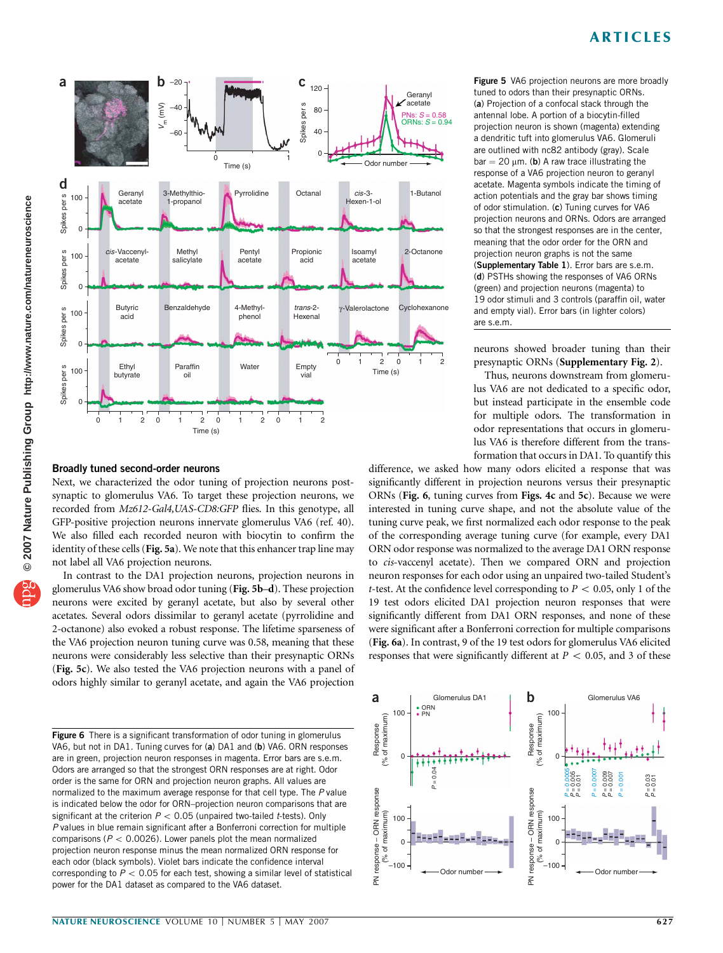

## Broadly tuned second-order neurons

Next, we characterized the odor tuning of projection neurons postsynaptic to glomerulus VA6. To target these projection neurons, we recorded from Mz612-Gal4, UAS-CD8: GFP flies. In this genotype, all GFP-positive projection neurons innervate glomerulus VA6 (ref. 40). We also filled each recorded neuron with biocytin to confirm the identity of these cells (Fig. 5a). We note that this enhancer trap line may not label all VA6 projection neurons.

In contrast to the DA1 projection neurons, projection neurons in glomerulus VA6 show broad odor tuning (Fig. 5b–d). These projection neurons were excited by geranyl acetate, but also by several other acetates. Several odors dissimilar to geranyl acetate (pyrrolidine and 2-octanone) also evoked a robust response. The lifetime sparseness of the VA6 projection neuron tuning curve was 0.58, meaning that these neurons were considerably less selective than their presynaptic ORNs (Fig. 5c). We also tested the VA6 projection neurons with a panel of odors highly similar to geranyl acetate, and again the VA6 projection

Figure 6 There is a significant transformation of odor tuning in glomerulus VA6, but not in DA1. Tuning curves for (a) DA1 and (b) VA6. ORN responses are in green, projection neuron responses in magenta. Error bars are s.e.m. Odors are arranged so that the strongest ORN responses are at right. Odor order is the same for ORN and projection neuron graphs. All values are normalized to the maximum average response for that cell type. The P value is indicated below the odor for ORN–projection neuron comparisons that are significant at the criterion  $P < 0.05$  (unpaired two-tailed t-tests). Only P values in blue remain significant after a Bonferroni correction for multiple comparisons ( $P < 0.0026$ ). Lower panels plot the mean normalized projection neuron response minus the mean normalized ORN response for each odor (black symbols). Violet bars indicate the confidence interval corresponding to  $P < 0.05$  for each test, showing a similar level of statistical power for the DA1 dataset as compared to the VA6 dataset.

Figure 5 VA6 projection neurons are more broadly tuned to odors than their presynaptic ORNs. (a) Projection of a confocal stack through the antennal lobe. A portion of a biocytin-filled projection neuron is shown (magenta) extending a dendritic tuft into glomerulus VA6. Glomeruli are outlined with nc82 antibody (gray). Scale  $bar = 20 \mu m$ . (b) A raw trace illustrating the response of a VA6 projection neuron to geranyl acetate. Magenta symbols indicate the timing of action potentials and the gray bar shows timing of odor stimulation. (c) Tuning curves for VA6 projection neurons and ORNs. Odors are arranged so that the strongest responses are in the center, meaning that the odor order for the ORN and projection neuron graphs is not the same (Supplementary Table 1). Error bars are s.e.m. (d) PSTHs showing the responses of VA6 ORNs (green) and projection neurons (magenta) to 19 odor stimuli and 3 controls (paraffin oil, water and empty vial). Error bars (in lighter colors) are s.e.m.

neurons showed broader tuning than their presynaptic ORNs (Supplementary Fig. 2).

Thus, neurons downstream from glomerulus VA6 are not dedicated to a specific odor, but instead participate in the ensemble code for multiple odors. The transformation in odor representations that occurs in glomerulus VA6 is therefore different from the transformation that occurs in DA1. To quantify this

difference, we asked how many odors elicited a response that was significantly different in projection neurons versus their presynaptic ORNs (Fig. 6, tuning curves from Figs. 4c and 5c). Because we were interested in tuning curve shape, and not the absolute value of the tuning curve peak, we first normalized each odor response to the peak of the corresponding average tuning curve (for example, every DA1 ORN odor response was normalized to the average DA1 ORN response to cis-vaccenyl acetate). Then we compared ORN and projection neuron responses for each odor using an unpaired two-tailed Student's t-test. At the confidence level corresponding to  $P < 0.05$ , only 1 of the 19 test odors elicited DA1 projection neuron responses that were significantly different from DA1 ORN responses, and none of these were significant after a Bonferroni correction for multiple comparisons (Fig. 6a). In contrast, 9 of the 19 test odors for glomerulus VA6 elicited responses that were significantly different at  $P < 0.05$ , and 3 of these

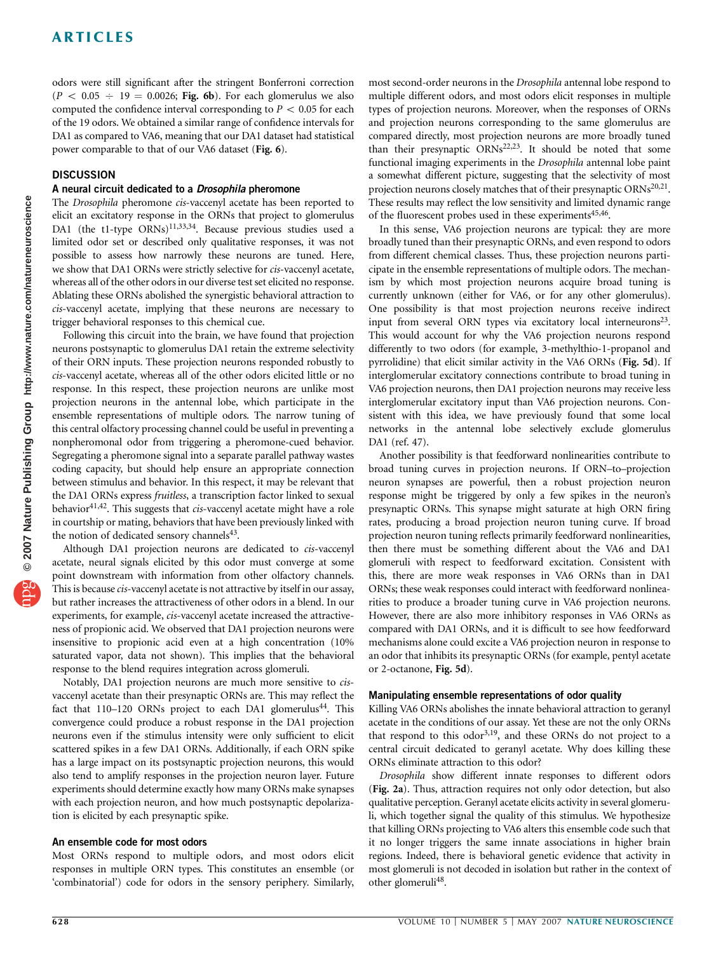odors were still significant after the stringent Bonferroni correction  $(P < 0.05 \div 19 = 0.0026;$  Fig. 6b). For each glomerulus we also computed the confidence interval corresponding to  $P < 0.05$  for each of the 19 odors. We obtained a similar range of confidence intervals for DA1 as compared to VA6, meaning that our DA1 dataset had statistical power comparable to that of our VA6 dataset (Fig. 6).

## **DISCUSSION**

#### A neural circuit dedicated to a Drosophila pheromone

The Drosophila pheromone cis-vaccenyl acetate has been reported to elicit an excitatory response in the ORNs that project to glomerulus DA1 (the t1-type ORNs)<sup>11,33,34</sup>. Because previous studies used a limited odor set or described only qualitative responses, it was not possible to assess how narrowly these neurons are tuned. Here, we show that DA1 ORNs were strictly selective for cis-vaccenyl acetate, whereas all of the other odors in our diverse test set elicited no response. Ablating these ORNs abolished the synergistic behavioral attraction to cis-vaccenyl acetate, implying that these neurons are necessary to trigger behavioral responses to this chemical cue.

Following this circuit into the brain, we have found that projection neurons postsynaptic to glomerulus DA1 retain the extreme selectivity of their ORN inputs. These projection neurons responded robustly to cis-vaccenyl acetate, whereas all of the other odors elicited little or no response. In this respect, these projection neurons are unlike most projection neurons in the antennal lobe, which participate in the ensemble representations of multiple odors. The narrow tuning of this central olfactory processing channel could be useful in preventing a nonpheromonal odor from triggering a pheromone-cued behavior. Segregating a pheromone signal into a separate parallel pathway wastes coding capacity, but should help ensure an appropriate connection between stimulus and behavior. In this respect, it may be relevant that the DA1 ORNs express fruitless, a transcription factor linked to sexual behavior $41,42$ . This suggests that *cis*-vaccenyl acetate might have a role in courtship or mating, behaviors that have been previously linked with the notion of dedicated sensory channels<sup>43</sup>.

Although DA1 projection neurons are dedicated to cis-vaccenyl acetate, neural signals elicited by this odor must converge at some point downstream with information from other olfactory channels. This is because *cis*-vaccenyl acetate is not attractive by itself in our assay, but rather increases the attractiveness of other odors in a blend. In our experiments, for example, cis-vaccenyl acetate increased the attractiveness of propionic acid. We observed that DA1 projection neurons were insensitive to propionic acid even at a high concentration (10% saturated vapor, data not shown). This implies that the behavioral response to the blend requires integration across glomeruli.

Notably, DA1 projection neurons are much more sensitive to cisvaccenyl acetate than their presynaptic ORNs are. This may reflect the fact that  $110-120$  ORNs project to each DA1 glomerulus<sup>44</sup>. This convergence could produce a robust response in the DA1 projection neurons even if the stimulus intensity were only sufficient to elicit scattered spikes in a few DA1 ORNs. Additionally, if each ORN spike has a large impact on its postsynaptic projection neurons, this would also tend to amplify responses in the projection neuron layer. Future experiments should determine exactly how many ORNs make synapses with each projection neuron, and how much postsynaptic depolarization is elicited by each presynaptic spike.

## An ensemble code for most odors

Most ORNs respond to multiple odors, and most odors elicit responses in multiple ORN types. This constitutes an ensemble (or 'combinatorial') code for odors in the sensory periphery. Similarly,

most second-order neurons in the Drosophila antennal lobe respond to multiple different odors, and most odors elicit responses in multiple types of projection neurons. Moreover, when the responses of ORNs and projection neurons corresponding to the same glomerulus are compared directly, most projection neurons are more broadly tuned than their presynaptic  $\widehat{ORNs}^{22,23}$ . It should be noted that some functional imaging experiments in the Drosophila antennal lobe paint a somewhat different picture, suggesting that the selectivity of most projection neurons closely matches that of their presynaptic ORNs<sup>20,21</sup>. These results may reflect the low sensitivity and limited dynamic range of the fluorescent probes used in these experiments<sup>45,46</sup>.

In this sense, VA6 projection neurons are typical: they are more broadly tuned than their presynaptic ORNs, and even respond to odors from different chemical classes. Thus, these projection neurons participate in the ensemble representations of multiple odors. The mechanism by which most projection neurons acquire broad tuning is currently unknown (either for VA6, or for any other glomerulus). One possibility is that most projection neurons receive indirect input from several ORN types via excitatory local interneurons<sup>23</sup>. This would account for why the VA6 projection neurons respond differently to two odors (for example, 3-methylthio-1-propanol and pyrrolidine) that elicit similar activity in the VA6 ORNs (Fig. 5d). If interglomerular excitatory connections contribute to broad tuning in VA6 projection neurons, then DA1 projection neurons may receive less interglomerular excitatory input than VA6 projection neurons. Consistent with this idea, we have previously found that some local networks in the antennal lobe selectively exclude glomerulus DA1 (ref. 47).

Another possibility is that feedforward nonlinearities contribute to broad tuning curves in projection neurons. If ORN–to–projection neuron synapses are powerful, then a robust projection neuron response might be triggered by only a few spikes in the neuron's presynaptic ORNs. This synapse might saturate at high ORN firing rates, producing a broad projection neuron tuning curve. If broad projection neuron tuning reflects primarily feedforward nonlinearities, then there must be something different about the VA6 and DA1 glomeruli with respect to feedforward excitation. Consistent with this, there are more weak responses in VA6 ORNs than in DA1 ORNs; these weak responses could interact with feedforward nonlinearities to produce a broader tuning curve in VA6 projection neurons. However, there are also more inhibitory responses in VA6 ORNs as compared with DA1 ORNs, and it is difficult to see how feedforward mechanisms alone could excite a VA6 projection neuron in response to an odor that inhibits its presynaptic ORNs (for example, pentyl acetate or 2-octanone, Fig. 5d).

## Manipulating ensemble representations of odor quality

Killing VA6 ORNs abolishes the innate behavioral attraction to geranyl acetate in the conditions of our assay. Yet these are not the only ORNs that respond to this odor<sup>3,19</sup>, and these ORNs do not project to a central circuit dedicated to geranyl acetate. Why does killing these ORNs eliminate attraction to this odor?

Drosophila show different innate responses to different odors (Fig. 2a). Thus, attraction requires not only odor detection, but also qualitative perception. Geranyl acetate elicits activity in several glomeruli, which together signal the quality of this stimulus. We hypothesize that killing ORNs projecting to VA6 alters this ensemble code such that it no longer triggers the same innate associations in higher brain regions. Indeed, there is behavioral genetic evidence that activity in most glomeruli is not decoded in isolation but rather in the context of other glomeruli<sup>48</sup>.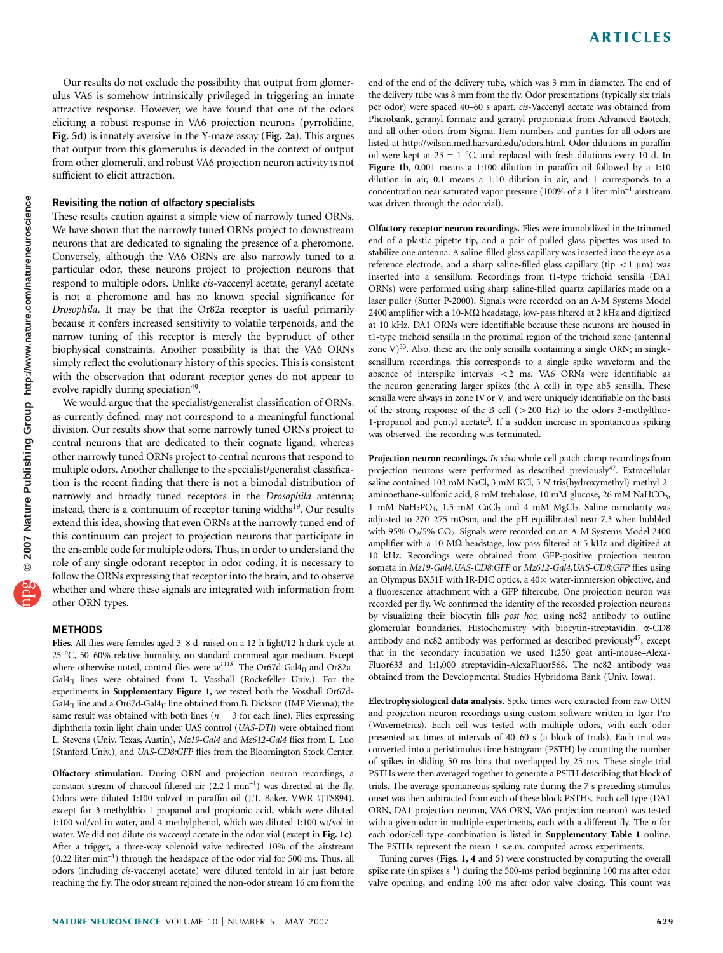Our results do not exclude the possibility that output from glomerulus VA6 is somehow intrinsically privileged in triggering an innate attractive response. However, we have found that one of the odors eliciting a robust response in VA6 projection neurons (pyrrolidine, Fig. 5d) is innately aversive in the Y-maze assay (Fig. 2a). This argues that output from this glomerulus is decoded in the context of output from other glomeruli, and robust VA6 projection neuron activity is not sufficient to elicit attraction.

#### Revisiting the notion of olfactory specialists

These results caution against a simple view of narrowly tuned ORNs. We have shown that the narrowly tuned ORNs project to downstream neurons that are dedicated to signaling the presence of a pheromone. Conversely, although the VA6 ORNs are also narrowly tuned to a particular odor, these neurons project to projection neurons that respond to multiple odors. Unlike cis-vaccenyl acetate, geranyl acetate is not a pheromone and has no known special significance for Drosophila. It may be that the Or82a receptor is useful primarily because it confers increased sensitivity to volatile terpenoids, and the narrow tuning of this receptor is merely the byproduct of other biophysical constraints. Another possibility is that the VA6 ORNs simply reflect the evolutionary history of this species. This is consistent with the observation that odorant receptor genes do not appear to evolve rapidly during speciation<sup>49</sup>.

We would argue that the specialist/generalist classification of ORNs, as currently defined, may not correspond to a meaningful functional division. Our results show that some narrowly tuned ORNs project to central neurons that are dedicated to their cognate ligand, whereas other narrowly tuned ORNs project to central neurons that respond to multiple odors. Another challenge to the specialist/generalist classification is the recent finding that there is not a bimodal distribution of narrowly and broadly tuned receptors in the Drosophila antenna; instead, there is a continuum of receptor tuning widths<sup>19</sup>. Our results extend this idea, showing that even ORNs at the narrowly tuned end of this continuum can project to projection neurons that participate in the ensemble code for multiple odors. Thus, in order to understand the role of any single odorant receptor in odor coding, it is necessary to follow the ORNs expressing that receptor into the brain, and to observe whether and where these signals are integrated with information from other ORN types.

#### **METHODS**

Flies. All flies were females aged 3–8 d, raised on a 12-h light/12-h dark cycle at 25 °C, 50–60% relative humidity, on standard cornmeal-agar medium. Except where otherwise noted, control flies were  $w^{1118}$ . The Or67d-Gal4<sub>II</sub> and Or82a- $Gal4<sub>II</sub>$  lines were obtained from L. Vosshall (Rockefeller Univ.). For the experiments in Supplementary Figure 1, we tested both the Vosshall Or67d-Gal $4_{II}$  line and a Or67d-Gal $4_{II}$  line obtained from B. Dickson (IMP Vienna); the same result was obtained with both lines ( $n = 3$  for each line). Flies expressing diphtheria toxin light chain under UAS control (UAS-DTl) were obtained from L. Stevens (Univ. Texas, Austin), Mz19-Gal4 and Mz612-Gal4 flies from L. Luo (Stanford Univ.), and UAS-CD8:GFP flies from the Bloomington Stock Center.

Olfactory stimulation. During ORN and projection neuron recordings, a constant stream of charcoal-filtered air (2.2 l min–1) was directed at the fly. Odors were diluted 1:100 vol/vol in paraffin oil (J.T. Baker, VWR #JTS894), except for 3-methylthio-1-propanol and propionic acid, which were diluted 1:100 vol/vol in water, and 4-methylphenol, which was diluted 1:100 wt/vol in water. We did not dilute cis-vaccenyl acetate in the odor vial (except in Fig. 1c). After a trigger, a three-way solenoid valve redirected 10% of the airstream (0.22 liter min–1) through the headspace of the odor vial for 500 ms. Thus, all odors (including cis-vaccenyl acetate) were diluted tenfold in air just before reaching the fly. The odor stream rejoined the non-odor stream 16 cm from the

end of the end of the delivery tube, which was 3 mm in diameter. The end of the delivery tube was 8 mm from the fly. Odor presentations (typically six trials per odor) were spaced 40-60 s apart. cis-Vaccenyl acetate was obtained from Pherobank, geranyl formate and geranyl propioniate from Advanced Biotech, and all other odors from Sigma. Item numbers and purities for all odors are listed at http://wilson.med.harvard.edu/odors.html. Odor dilutions in paraffin oil were kept at  $23 \pm 1$  °C, and replaced with fresh dilutions every 10 d. In Figure 1b, 0.001 means a 1:100 dilution in paraffin oil followed by a 1:10 dilution in air, 0.1 means a 1:10 dilution in air, and 1 corresponds to a concentration near saturated vapor pressure (100% of a 1 liter min–1 airstream was driven through the odor vial).

Olfactory receptor neuron recordings. Flies were immobilized in the trimmed end of a plastic pipette tip, and a pair of pulled glass pipettes was used to stabilize one antenna. A saline-filled glass capillary was inserted into the eye as a reference electrode, and a sharp saline-filled glass capillary (tip  $<$  1 µm) was inserted into a sensillum. Recordings from t1-type trichoid sensilla (DA1 ORNs) were performed using sharp saline-filled quartz capillaries made on a laser puller (Sutter P-2000). Signals were recorded on an A-M Systems Model 2400 amplifier with a 10-M $\Omega$  headstage, low-pass filtered at 2 kHz and digitized at 10 kHz. DA1 ORNs were identifiable because these neurons are housed in t1-type trichoid sensilla in the proximal region of the trichoid zone (antennal zone  $V$ )<sup>33</sup>. Also, these are the only sensilla containing a single ORN; in singlesensillum recordings, this corresponds to a single spike waveform and the absence of interspike intervals  $<$  2 ms. VA6 ORNs were identifiable as the neuron generating larger spikes (the A cell) in type ab5 sensilla. These sensilla were always in zone IV or V, and were uniquely identifiable on the basis of the strong response of the B cell  $(>200$  Hz) to the odors 3-methylthio-1-propanol and pentyl acetate<sup>3</sup>. If a sudden increase in spontaneous spiking was observed, the recording was terminated.

Projection neuron recordings. In vivo whole-cell patch-clamp recordings from projection neurons were performed as described previously<sup>47</sup>. Extracellular saline contained 103 mM NaCl, 3 mM KCl, 5 N-tris(hydroxymethyl)-methyl-2 aminoethane-sulfonic acid, 8 mM trehalose, 10 mM glucose, 26 mM NaHCO<sub>3</sub>, 1 mM NaH<sub>2</sub>PO<sub>4</sub>, 1.5 mM CaCl<sub>2</sub> and 4 mM MgCl<sub>2</sub>. Saline osmolarity was adjusted to 270–275 mOsm, and the pH equilibrated near 7.3 when bubbled with 95%  $O<sub>2</sub>/5$ %  $CO<sub>2</sub>$ . Signals were recorded on an A-M Systems Model 2400 amplifier with a 10-M $\Omega$  headstage, low-pass filtered at 5 kHz and digitized at 10 kHz. Recordings were obtained from GFP-positive projection neuron somata in Mz19-Gal4, UAS-CD8:GFP or Mz612-Gal4, UAS-CD8:GFP flies using an Olympus BX51F with IR-DIC optics, a  $40\times$  water-immersion objective, and a fluorescence attachment with a GFP filtercube. One projection neuron was recorded per fly. We confirmed the identity of the recorded projection neurons by visualizing their biocytin fills post hoc, using nc82 antibody to outline glomerular boundaries. Histochemistry with biocytin-streptavidin, a-CD8 antibody and nc82 antibody was performed as described previously<sup>47</sup>, except that in the secondary incubation we used 1:250 goat anti-mouse–Alexa-Fluor633 and 1:1,000 streptavidin-AlexaFluor568. The nc82 antibody was obtained from the Developmental Studies Hybridoma Bank (Univ. Iowa).

Electrophysiological data analysis. Spike times were extracted from raw ORN and projection neuron recordings using custom software written in Igor Pro (Wavemetrics). Each cell was tested with multiple odors, with each odor presented six times at intervals of 40–60 s (a block of trials). Each trial was converted into a peristimulus time histogram (PSTH) by counting the number of spikes in sliding 50-ms bins that overlapped by 25 ms. These single-trial PSTHs were then averaged together to generate a PSTH describing that block of trials. The average spontaneous spiking rate during the 7 s preceding stimulus onset was then subtracted from each of these block PSTHs. Each cell type (DA1 ORN, DA1 projection neuron, VA6 ORN, VA6 projection neuron) was tested with a given odor in multiple experiments, each with a different fly. The  $n$  for each odor/cell-type combination is listed in Supplementary Table 1 online. The PSTHs represent the mean  $\pm$  s.e.m. computed across experiments.

Tuning curves (Figs. 1, 4 and 5) were constructed by computing the overall spike rate (in spikes  $s^{-1}$ ) during the 500-ms period beginning 100 ms after odor valve opening, and ending 100 ms after odor valve closing. This count was